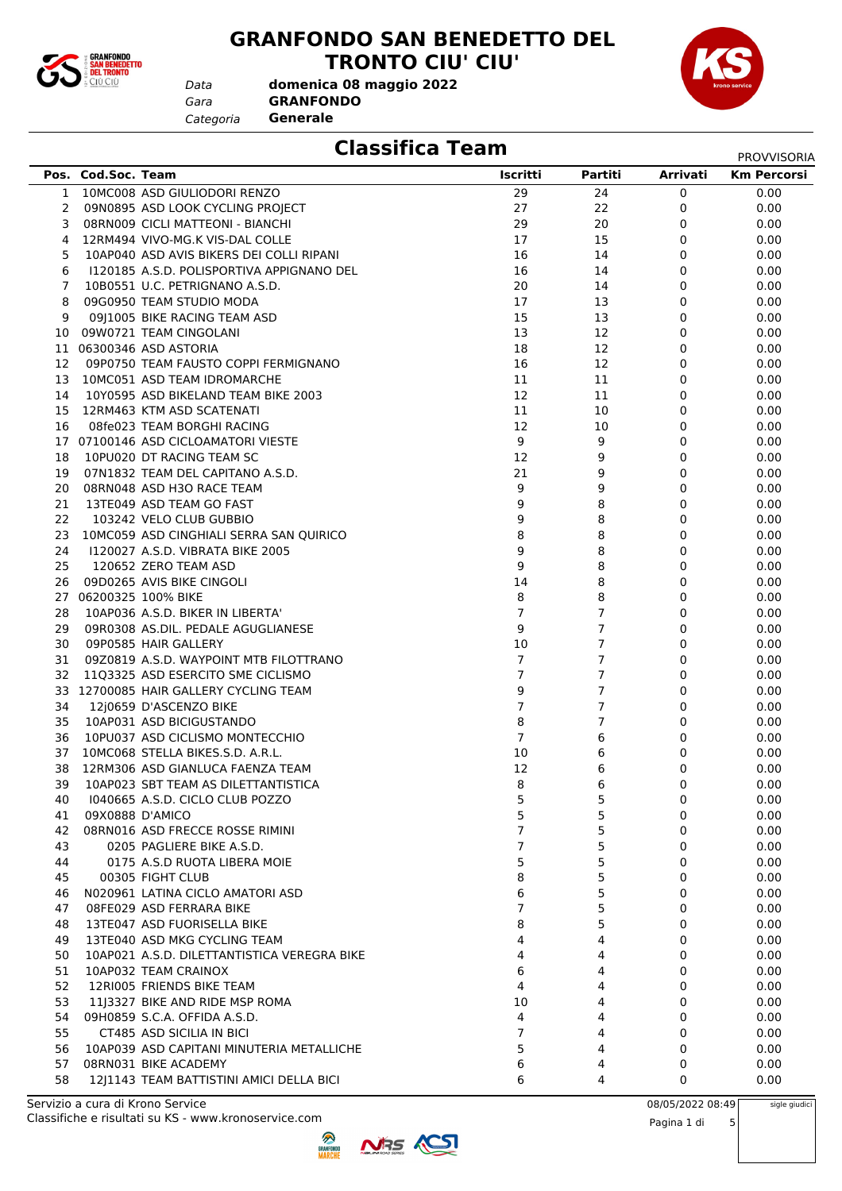

#### **GRANFONDO SAN BENEDETTO DEL TRONTO CIU' CIU'**

*Gara* **GRANFONDO domenica 08 maggio 2022**

*Categoria* **Generale**

*Data*



### **Classifica Team** PROVISORIA

|    |                    |                                             |                |                |                 | PROVVISORIA        |
|----|--------------------|---------------------------------------------|----------------|----------------|-----------------|--------------------|
|    | Pos. Cod.Soc. Team |                                             | Iscritti       | Partiti        | <b>Arrivati</b> | <b>Km Percorsi</b> |
| 1  |                    | 10MC008 ASD GIULIODORI RENZO                | 29             | 24             | 0               | 0.00               |
| 2  |                    | 09N0895 ASD LOOK CYCLING PROJECT            | 27             | 22             | 0               | 0.00               |
| 3  |                    | 08RN009 CICLI MATTEONI - BIANCHI            | 29             | 20             | 0               | 0.00               |
| 4  |                    | 12RM494 VIVO-MG.K VIS-DAL COLLE             | 17             | 15             | 0               | 0.00               |
| 5  |                    | 10AP040 ASD AVIS BIKERS DEI COLLI RIPANI    | 16             | 14             | 0               | 0.00               |
| 6  |                    | 1120185 A.S.D. POLISPORTIVA APPIGNANO DEL   | 16             | 14             | 0               | 0.00               |
| 7  |                    | 10B0551 U.C. PETRIGNANO A.S.D.              | 20             | 14             | 0               | 0.00               |
| 8  |                    | 09G0950 TEAM STUDIO MODA                    | 17             | 13             | 0               | 0.00               |
| 9  |                    | 09J1005 BIKE RACING TEAM ASD                | 15             | 13             | 0               | 0.00               |
|    |                    | 10 09W0721 TEAM CINGOLANI                   | 13             | 12             | 0               | 0.00               |
|    |                    | 11 06300346 ASD ASTORIA                     | 18             | 12             | 0               | 0.00               |
|    |                    |                                             |                |                |                 |                    |
| 12 |                    | 09P0750 TEAM FAUSTO COPPI FERMIGNANO        | 16             | 12             | 0               | 0.00               |
| 13 |                    | 10MC051 ASD TEAM IDROMARCHE                 | 11             | 11             | 0               | 0.00               |
| 14 |                    | 10Y0595 ASD BIKELAND TEAM BIKE 2003         | 12             | 11             | 0               | 0.00               |
| 15 |                    | 12RM463 KTM ASD SCATENATI                   | 11             | 10             | 0               | 0.00               |
| 16 |                    | 08fe023 TEAM BORGHI RACING                  | 12             | 10             | 0               | 0.00               |
|    |                    | 17 07100146 ASD CICLOAMATORI VIESTE         | 9              | 9              | 0               | 0.00               |
| 18 |                    | 10PU020 DT RACING TEAM SC                   | 12             | 9              | 0               | 0.00               |
| 19 |                    | 07N1832 TEAM DEL CAPITANO A.S.D.            | 21             | 9              | 0               | 0.00               |
| 20 |                    | 08RN048 ASD H3O RACE TEAM                   | 9              | 9              | 0               | 0.00               |
| 21 |                    | 13TE049 ASD TEAM GO FAST                    | 9              | 8              | 0               | 0.00               |
| 22 |                    | 103242 VELO CLUB GUBBIO                     | 9              | 8              | 0               | 0.00               |
|    |                    | 23 10MC059 ASD CINGHIALI SERRA SAN QUIRICO  | 8              | 8              | 0               | 0.00               |
| 24 |                    | 1120027 A.S.D. VIBRATA BIKE 2005            | 9              | 8              | 0               | 0.00               |
| 25 |                    | 120652 ZERO TEAM ASD                        | 9              | 8              | 0               | 0.00               |
| 26 |                    | 09D0265 AVIS BIKE CINGOLI                   | 14             | 8              | 0               | 0.00               |
|    |                    | 27 06200325 100% BIKE                       | 8              | 8              | 0               | 0.00               |
| 28 |                    | 10AP036 A.S.D. BIKER IN LIBERTA'            | $\overline{7}$ | $\overline{7}$ | 0               | 0.00               |
| 29 |                    | 09R0308 AS.DIL. PEDALE AGUGLIANESE          | 9              | $\overline{7}$ | 0               | 0.00               |
| 30 |                    | 09P0585 HAIR GALLERY                        | 10             | $\overline{7}$ | 0               | 0.00               |
| 31 |                    | 09Z0819 A.S.D. WAYPOINT MTB FILOTTRANO      | 7              | 7              | 0               | 0.00               |
| 32 |                    | 11Q3325 ASD ESERCITO SME CICLISMO           | $\overline{7}$ | $\overline{7}$ | 0               | 0.00               |
|    |                    | 33 12700085 HAIR GALLERY CYCLING TEAM       | 9              | $\overline{7}$ | 0               | 0.00               |
| 34 |                    | 12j0659 D'ASCENZO BIKE                      | $\overline{7}$ | 7              | 0               | 0.00               |
| 35 |                    | 10AP031 ASD BICIGUSTANDO                    | 8              | $\overline{7}$ | 0               | 0.00               |
| 36 |                    | 10PU037 ASD CICLISMO MONTECCHIO             | 7              | 6              | 0               | 0.00               |
| 37 |                    | 10MC068 STELLA BIKES.S.D. A.R.L.            | 10             | 6              | 0               | 0.00               |
| 38 |                    | 12RM306 ASD GIANLUCA FAENZA TEAM            | 12             | 6              | 0               | 0.00               |
| 39 |                    |                                             | 8              | 6              |                 |                    |
|    |                    | 10AP023 SBT TEAM AS DILETTANTISTICA         |                |                | 0               | 0.00               |
| 40 |                    | 1040665 A.S.D. CICLO CLUB POZZO             | 5              | 5              | 0               | 0.00               |
| 41 | 09X0888 D'AMICO    |                                             | 5              | 5              | 0               | 0.00               |
| 42 |                    | 08RN016 ASD FRECCE ROSSE RIMINI             | 7              | 5              | 0               | 0.00               |
| 43 |                    | 0205 PAGLIERE BIKE A.S.D.                   | 7              | 5              | 0               | 0.00               |
| 44 |                    | 0175 A.S.D RUOTA LIBERA MOIE                | 5              | 5              | 0               | 0.00               |
| 45 |                    | 00305 FIGHT CLUB                            | 8              | 5              | 0               | 0.00               |
| 46 |                    | N020961 LATINA CICLO AMATORI ASD            | 6              | 5              | 0               | 0.00               |
| 47 |                    | 08FE029 ASD FERRARA BIKE                    | $\overline{7}$ | 5              | 0               | 0.00               |
| 48 |                    | 13TE047 ASD FUORISELLA BIKE                 | 8              | 5              | 0               | 0.00               |
| 49 |                    | 13TE040 ASD MKG CYCLING TEAM                | 4              | 4              | 0               | 0.00               |
| 50 |                    | 10AP021 A.S.D. DILETTANTISTICA VEREGRA BIKE | 4              | 4              | 0               | 0.00               |
| 51 |                    | 10AP032 TEAM CRAINOX                        | 6              | 4              | 0               | 0.00               |
| 52 |                    | 12RI005 FRIENDS BIKE TEAM                   | 4              | 4              | 0               | 0.00               |
| 53 |                    | 11 3327 BIKE AND RIDE MSP ROMA              | 10             | 4              | 0               | 0.00               |
| 54 |                    | 09H0859 S.C.A. OFFIDA A.S.D.                | 4              | 4              | 0               | 0.00               |
| 55 |                    | CT485 ASD SICILIA IN BICI                   | 7              | 4              | 0               | 0.00               |
| 56 |                    | 10AP039 ASD CAPITANI MINUTERIA METALLICHE   | 5              | 4              | 0               | 0.00               |
| 57 |                    | 08RN031 BIKE ACADEMY                        | 6              | 4              | 0               | 0.00               |
| 58 |                    | 12J1143 TEAM BATTISTINI AMICI DELLA BICI    | 6              | 4              | 0               | 0.00               |
|    |                    |                                             |                |                |                 |                    |



sigle giudici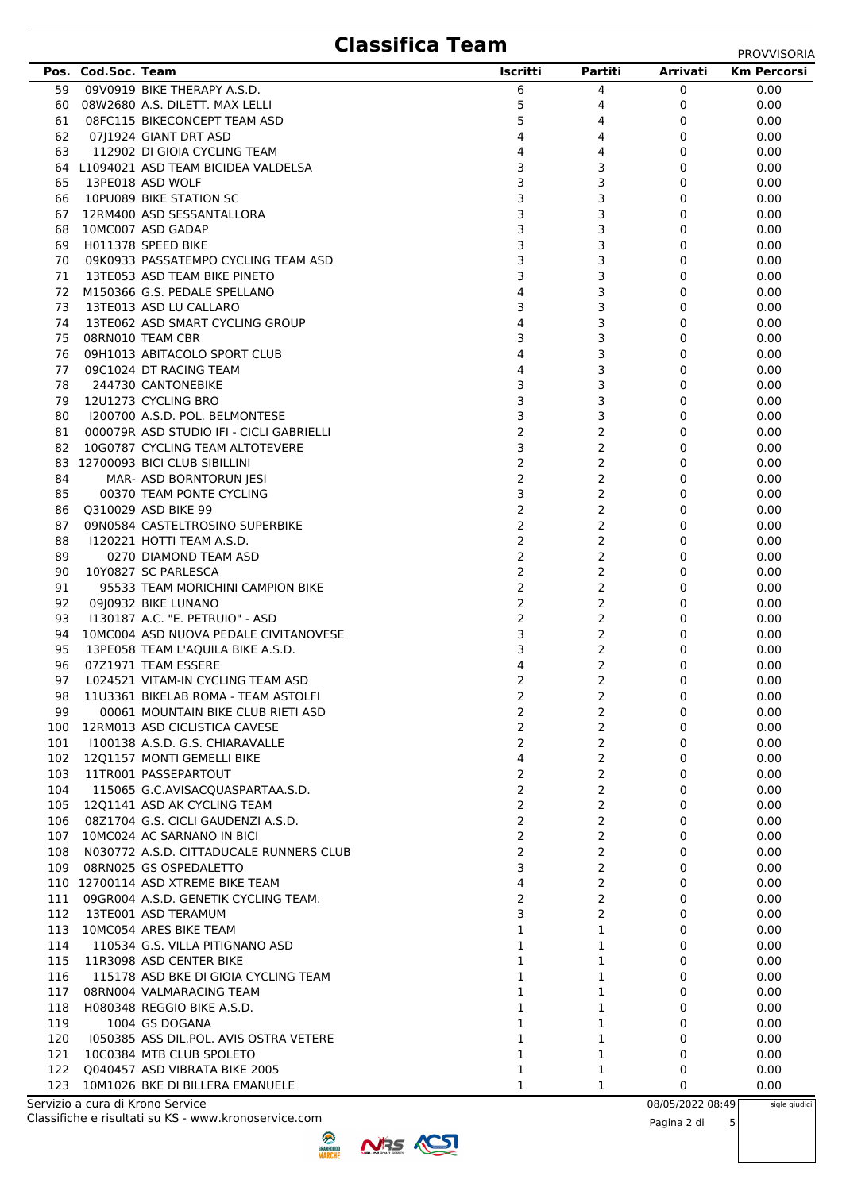# **Classifica Team** PROVVISORIA

|     |                    |                                          |                |                |          | ,,,,,,,,,,,,,,,    |
|-----|--------------------|------------------------------------------|----------------|----------------|----------|--------------------|
|     | Pos. Cod.Soc. Team |                                          | Iscritti       | Partiti        | Arrivati | <b>Km Percorsi</b> |
| 59  |                    | 09V0919 BIKE THERAPY A.S.D.              | 6              | 4              | 0        | 0.00               |
| 60  |                    | 08W2680 A.S. DILETT. MAX LELLI           | 5              | 4              | 0        | 0.00               |
| 61  |                    | 08FC115 BIKECONCEPT TEAM ASD             | 5              | 4              | 0        | 0.00               |
| 62  |                    | 07 1924 GIANT DRT ASD                    | 4              | 4              | 0        | 0.00               |
| 63  |                    | 112902 DI GIOIA CYCLING TEAM             | 4              | 4              | 0        | 0.00               |
|     |                    | 64 L1094021 ASD TEAM BICIDEA VALDELSA    | 3              | 3              | 0        | 0.00               |
| 65  |                    | 13PE018 ASD WOLF                         | 3              | 3              | 0        | 0.00               |
| 66  |                    | 10PU089 BIKE STATION SC                  | 3              | 3              | 0        | 0.00               |
| 67  |                    | 12RM400 ASD SESSANTALLORA                | 3              | 3              | 0        | 0.00               |
| 68  |                    | 10MC007 ASD GADAP                        | 3              | 3              | 0        | 0.00               |
|     |                    | H011378 SPEED BIKE                       | 3              | 3              | 0        |                    |
| 69  |                    |                                          |                |                |          | 0.00               |
| 70  |                    | 09K0933 PASSATEMPO CYCLING TEAM ASD      | 3              | 3              | 0        | 0.00               |
| 71  |                    | 13TE053 ASD TEAM BIKE PINETO             | 3              | 3              | 0        | 0.00               |
| 72  |                    | M150366 G.S. PEDALE SPELLANO             | 4              | 3              | 0        | 0.00               |
| 73  |                    | 13TE013 ASD LU CALLARO                   | 3              | 3              | 0        | 0.00               |
| 74  |                    | 13TE062 ASD SMART CYCLING GROUP          | 4              | 3              | 0        | 0.00               |
| 75  |                    | 08RN010 TEAM CBR                         | 3              | 3              | 0        | 0.00               |
| 76  |                    | 09H1013 ABITACOLO SPORT CLUB             | 4              | 3              | 0        | 0.00               |
| 77  |                    | 09C1024 DT RACING TEAM                   | 4              | 3              | 0        | 0.00               |
| 78  |                    | 244730 CANTONEBIKE                       | 3              | 3              | 0        | 0.00               |
| 79  |                    | 12U1273 CYCLING BRO                      | 3              | 3              | 0        | 0.00               |
| 80  |                    | 1200700 A.S.D. POL. BELMONTESE           | 3              | 3              | 0        | 0.00               |
| 81  |                    | 000079R ASD STUDIO IFI - CICLI GABRIELLI | $\overline{2}$ | 2              | 0        | 0.00               |
| 82  |                    | 10G0787 CYCLING TEAM ALTOTEVERE          | 3              | 2              | 0        | 0.00               |
|     |                    | 83 12700093 BICI CLUB SIBILLINI          | $\overline{2}$ | 2              | 0        | 0.00               |
| 84  |                    | MAR- ASD BORNTORUN JESI                  | 2              | $\overline{2}$ | 0        | 0.00               |
| 85  |                    | 00370 TEAM PONTE CYCLING                 | 3              | 2              | 0        | 0.00               |
| 86  |                    | Q310029 ASD BIKE 99                      | 2              | 2              | 0        | 0.00               |
| 87  |                    | 09N0584 CASTELTROSINO SUPERBIKE          | 2              | 2              | 0        | 0.00               |
| 88  |                    | 1120221 HOTTI TEAM A.S.D.                | $\overline{2}$ | 2              | 0        | 0.00               |
| 89  |                    | 0270 DIAMOND TEAM ASD                    | $\overline{2}$ | 2              | 0        | 0.00               |
| 90  |                    | 10Y0827 SC PARLESCA                      | $\overline{2}$ |                | 0        |                    |
|     |                    |                                          |                | $\overline{2}$ |          | 0.00               |
| 91  |                    | 95533 TEAM MORICHINI CAMPION BIKE        | $\overline{2}$ | 2              | 0        | 0.00               |
| 92  |                    | 09 0932 BIKE LUNANO                      | $\overline{2}$ | 2              | 0        | 0.00               |
| 93  |                    | 1130187 A.C. "E. PETRUIO" - ASD          | 2              | 2              | 0        | 0.00               |
| 94  |                    | 10MC004 ASD NUOVA PEDALE CIVITANOVESE    | 3              | 2              | 0        | 0.00               |
| 95  |                    | 13PE058 TEAM L'AQUILA BIKE A.S.D.        | 3              | 2              | 0        | 0.00               |
| 96  |                    | 07Z1971 TEAM ESSERE                      | 4              | 2              | 0        | 0.00               |
| 97  |                    | L024521 VITAM-IN CYCLING TEAM ASD        | 2              | 2              | 0        | 0.00               |
| 98  |                    | 11U3361 BIKELAB ROMA - TEAM ASTOLFI      | 2              | 2              | 0        | 0.00               |
| 99  |                    | 00061 MOUNTAIN BIKE CLUB RIETI ASD       | $\overline{2}$ | 2              | $\Omega$ | 0.00               |
| 100 |                    | 12RM013 ASD CICLISTICA CAVESE            | $\overline{2}$ | 2              | 0        | 0.00               |
| 101 |                    | I100138 A.S.D. G.S. CHIARAVALLE          | $\overline{2}$ | $\overline{2}$ | 0        | 0.00               |
| 102 |                    | 1201157 MONTI GEMELLI BIKE               | 4              | $\overline{2}$ | 0        | 0.00               |
| 103 |                    | 11TR001 PASSEPARTOUT                     | 2              | 2              | 0        | 0.00               |
| 104 |                    | 115065 G.C.AVISACQUASPARTAA.S.D.         | $\overline{2}$ | $\overline{2}$ | 0        | 0.00               |
| 105 |                    | 1201141 ASD AK CYCLING TEAM              | 2              | 2              | 0        | 0.00               |
| 106 |                    | 08Z1704 G.S. CICLI GAUDENZI A.S.D.       | $\overline{2}$ | $\overline{2}$ | 0        | 0.00               |
| 107 |                    | 10MC024 AC SARNANO IN BICI               | $\overline{2}$ | $\overline{2}$ | 0        | 0.00               |
| 108 |                    | N030772 A.S.D. CITTADUCALE RUNNERS CLUB  | $\overline{2}$ | $\overline{2}$ | 0        | 0.00               |
|     |                    | 109 08RN025 GS OSPEDALETTO               | 3              | $\overline{2}$ | 0        | 0.00               |
|     |                    | 110 12700114 ASD XTREME BIKE TEAM        | 4              | $\overline{2}$ | 0        | 0.00               |
| 111 |                    | 09GR004 A.S.D. GENETIK CYCLING TEAM.     | $\overline{2}$ | 2              | 0        | 0.00               |
| 112 |                    | 13TE001 ASD TERAMUM                      | 3              | $\overline{2}$ | 0        | 0.00               |
| 113 |                    | 10MC054 ARES BIKE TEAM                   | 1              | 1              | 0        | 0.00               |
| 114 |                    | 110534 G.S. VILLA PITIGNANO ASD          | 1              | 1              | 0        | 0.00               |
| 115 |                    |                                          |                | 1              | 0        |                    |
|     |                    | 11R3098 ASD CENTER BIKE                  | 1              |                |          | 0.00               |
| 116 |                    | 115178 ASD BKE DI GIOIA CYCLING TEAM     | 1              | 1              | 0        | 0.00               |
| 117 |                    | 08RN004 VALMARACING TEAM                 | $\mathbf{1}$   | 1              | 0        | 0.00               |
| 118 |                    | H080348 REGGIO BIKE A.S.D.               | $\mathbf{1}$   | 1              | 0        | 0.00               |
| 119 |                    | 1004 GS DOGANA                           | $\mathbf{1}$   | 1              | 0        | 0.00               |
| 120 |                    | 1050385 ASS DIL.POL. AVIS OSTRA VETERE   | 1              | 1              | 0        | 0.00               |
| 121 |                    | 10C0384 MTB CLUB SPOLETO                 | 1              | 1              | 0        | 0.00               |
| 122 |                    | Q040457 ASD VIBRATA BIKE 2005            | 1              | 1              | 0        | 0.00               |
| 123 |                    | 10M1026 BKE DI BILLERA EMANUELE          | 1              | 1              | 0        | 0.00               |

123 10M1026 BKE DI BILLERA EMANUELE Classifiche e risultati su KS - www.kronoservice.com Servizio a cura di Krono Service 08/05/2022 08:49

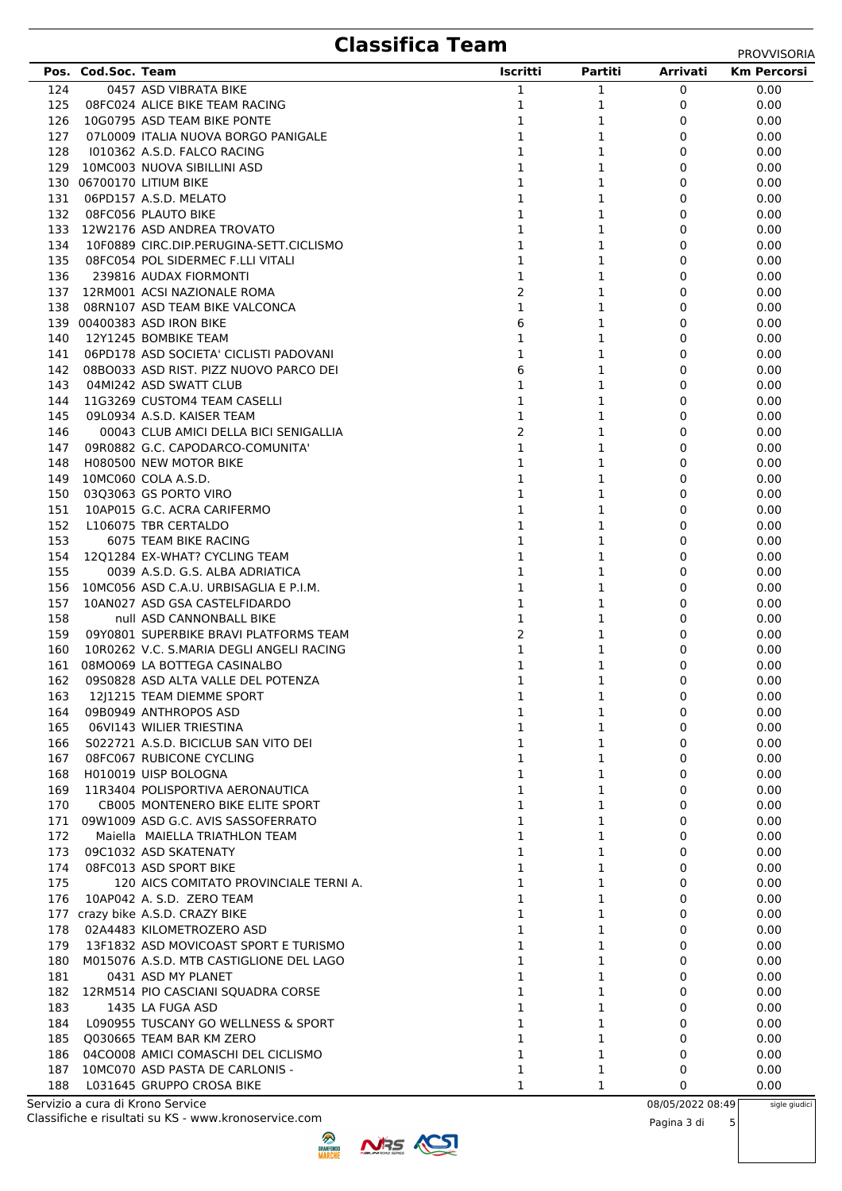### **Classifica Team**

|            | Pos. Cod.Soc. Team |                                                                    | Iscritti       | Partiti      | Arrivati | <b>Km Percorsi</b> |
|------------|--------------------|--------------------------------------------------------------------|----------------|--------------|----------|--------------------|
| 124        |                    | 0457 ASD VIBRATA BIKE                                              | 1              | $\mathbf{1}$ | 0        | 0.00               |
| 125        |                    | 08FC024 ALICE BIKE TEAM RACING                                     | 1              | 1            | 0        | 0.00               |
| 126        |                    | 10G0795 ASD TEAM BIKE PONTE                                        | 1              | 1            | 0        | 0.00               |
| 127        |                    | 07L0009 ITALIA NUOVA BORGO PANIGALE                                | $\mathbf{1}$   | 1            | 0        | 0.00               |
| 128        |                    | 1010362 A.S.D. FALCO RACING                                        | $\mathbf{1}$   | 1            | 0        | 0.00               |
|            |                    | 129 10MC003 NUOVA SIBILLINI ASD                                    | $\mathbf{1}$   | 1            | 0        | 0.00               |
|            |                    | 130 06700170 LITIUM BIKE                                           | 1              | 1            | 0        | 0.00               |
| 131        |                    | 06PD157 A.S.D. MELATO                                              | 1              | 1            | 0        | 0.00               |
| 132        |                    | 08FC056 PLAUTO BIKE                                                | $\mathbf{1}$   | 1            | 0        | 0.00               |
| 133        |                    | 12W2176 ASD ANDREA TROVATO                                         | $\mathbf{1}$   | 1            | 0        | 0.00               |
| 134        |                    | 10F0889 CIRC.DIP.PERUGINA-SETT.CICLISMO                            | $\mathbf{1}$   | 1            | 0        | 0.00               |
| 135        |                    | 08FC054 POL SIDERMEC F.LLI VITALI                                  | $\mathbf 1$    | 1            | 0        | 0.00               |
| 136        |                    | 239816 AUDAX FIORMONTI                                             | 1              | 1            | 0        | 0.00               |
| 137        |                    | 12RM001 ACSI NAZIONALE ROMA                                        | $\overline{2}$ | 1            | 0        | 0.00               |
| 138        |                    | 08RN107 ASD TEAM BIKE VALCONCA                                     | 1              | 1            | $\Omega$ | 0.00               |
|            |                    | 139 00400383 ASD IRON BIKE                                         | 6              | 1            | 0        | 0.00               |
| 140        |                    | 12Y1245 BOMBIKE TEAM                                               | $\mathbf 1$    | 1            | 0        | 0.00               |
| 141        |                    | 06PD178 ASD SOCIETA' CICLISTI PADOVANI                             | $\mathbf{1}$   | 1            | 0        | 0.00               |
| 142        |                    | 08BO033 ASD RIST, PIZZ NUOVO PARCO DEI                             | 6              | 1            | 0        | 0.00               |
| 143        |                    | 04MI242 ASD SWATT CLUB                                             | 1              | 1            | 0        | 0.00               |
| 144        |                    | 11G3269 CUSTOM4 TEAM CASELLI                                       | $\mathbf{1}$   | 1            | 0        | 0.00               |
| 145        |                    | 09L0934 A.S.D. KAISER TEAM                                         | $\mathbf{1}$   | 1            | 0        | 0.00               |
| 146        |                    | 00043 CLUB AMICI DELLA BICI SENIGALLIA                             | $\overline{2}$ | 1            | 0        | 0.00               |
| 147        |                    | 09R0882 G.C. CAPODARCO-COMUNITA'                                   | $\mathbf{1}$   | 1            | 0        | 0.00               |
| 148        |                    | H080500 NEW MOTOR BIKE                                             | $\mathbf{1}$   | 1            | 0        | 0.00               |
| 149        |                    | 10MC060 COLA A.S.D.                                                | 1              | 1            | 0        | 0.00               |
| 150        |                    | 03Q3063 GS PORTO VIRO                                              | 1              | 1            | $\Omega$ | 0.00               |
| 151        |                    | 10AP015 G.C. ACRA CARIFERMO                                        | 1              | 1            | 0        | 0.00               |
| 152        |                    | L106075 TBR CERTALDO                                               | $\mathbf{1}$   | 1            | 0        | 0.00               |
| 153        |                    | 6075 TEAM BIKE RACING                                              | $\mathbf{1}$   | 1            | 0        | 0.00               |
| 154        |                    | 12Q1284 EX-WHAT? CYCLING TEAM                                      | 1              | 1            | 0        | 0.00               |
| 155        |                    | 0039 A.S.D. G.S. ALBA ADRIATICA                                    | $\mathbf{1}$   | 1            | 0        | 0.00               |
| 156        |                    | 10MC056 ASD C.A.U. URBISAGLIA E P.I.M.                             | $\mathbf{1}$   | 1            | 0        | 0.00               |
| 157        |                    | 10AN027 ASD GSA CASTELFIDARDO                                      | $\mathbf{1}$   | 1            | 0        | 0.00               |
| 158        |                    | null ASD CANNONBALL BIKE                                           | $\mathbf 1$    | 1            | 0        | 0.00               |
| 159        |                    | 09Y0801 SUPERBIKE BRAVI PLATFORMS TEAM                             | $\overline{2}$ | 1            | 0        | 0.00               |
| 160        |                    | 10R0262 V.C. S.MARIA DEGLI ANGELI RACING                           | 1              | 1            | 0        | 0.00               |
| 161        |                    | 08MO069 LA BOTTEGA CASINALBO<br>09S0828 ASD ALTA VALLE DEL POTENZA | 1<br>1         | 1            | 0<br>0   | 0.00               |
| 162        |                    |                                                                    |                | 1            |          | 0.00               |
| 163        |                    | 12J1215 TEAM DIEMME SPORT                                          |                | 1            | 0        | 0.00               |
| 164<br>165 |                    | 09B0949 ANTHROPOS ASD<br>06VI143 WILIER TRIESTINA                  | 1<br>1         | 1<br>1       | 0<br>0   | 0.00<br>0.00       |
| 166        |                    | S022721 A.S.D. BICICLUB SAN VITO DEI                               | 1              | 1            | 0        | 0.00               |
| 167        |                    | 08FC067 RUBICONE CYCLING                                           | 1              | 1            | 0        | 0.00               |
| 168        |                    | H010019 UISP BOLOGNA                                               | 1              | 1            | 0        | 0.00               |
| 169        |                    | 11R3404 POLISPORTIVA AERONAUTICA                                   | 1              | 1            | 0        | 0.00               |
| 170        |                    | CB005 MONTENERO BIKE ELITE SPORT                                   | 1              | 1            | 0        | 0.00               |
| 171        |                    | 09W1009 ASD G.C. AVIS SASSOFERRATO                                 | 1              | 1            | 0        | 0.00               |
| 172        |                    | Maiella MAIELLA TRIATHLON TEAM                                     | 1              | 1            | 0        | 0.00               |
| 173        |                    | 09C1032 ASD SKATENATY                                              | 1              | 1            | 0        | 0.00               |
| 174        |                    | 08FC013 ASD SPORT BIKE                                             | 1              | 1            | 0        | 0.00               |
| 175        |                    | 120 AICS COMITATO PROVINCIALE TERNI A.                             | 1              | 1            | 0        | 0.00               |
| 176        |                    | 10AP042 A. S.D. ZERO TEAM                                          | 1              | 1            | 0        | 0.00               |
|            |                    | 177 crazy bike A.S.D. CRAZY BIKE                                   | 1              | 1            | 0        | 0.00               |
| 178        |                    | 02A4483 KILOMETROZERO ASD                                          | 1              | 1            | 0        | 0.00               |
| 179        |                    | 13F1832 ASD MOVICOAST SPORT E TURISMO                              | 1              | 1            | 0        | 0.00               |
| 180        |                    | M015076 A.S.D. MTB CASTIGLIONE DEL LAGO                            | 1              | 1            | 0        | 0.00               |
| 181        |                    | 0431 ASD MY PLANET                                                 | 1              | 1            | 0        | 0.00               |
| 182        |                    | 12RM514 PIO CASCIANI SQUADRA CORSE                                 | 1              | 1            | 0        | 0.00               |
| 183        |                    | 1435 LA FUGA ASD                                                   | 1              | 1            | 0        | 0.00               |
| 184        |                    | L090955 TUSCANY GO WELLNESS & SPORT                                | 1              | 1            | 0        | 0.00               |
| 185        |                    | Q030665 TEAM BAR KM ZERO                                           | 1              | 1            | 0        | 0.00               |
| 186        |                    | 04CO008 AMICI COMASCHI DEL CICLISMO                                | 1              | 1            | 0        | 0.00               |
| 187        |                    | 10MC070 ASD PASTA DE CARLONIS -                                    | 1              | 1            | 0        | 0.00               |
| 188        |                    | L031645 GRUPPO CROSA BIKE                                          | 1              | 1            | 0        | 0.00               |

Classifiche e risultati su KS - www.kronoservice.com Servizio a cura di Krono Service 08/05/2022 08:49

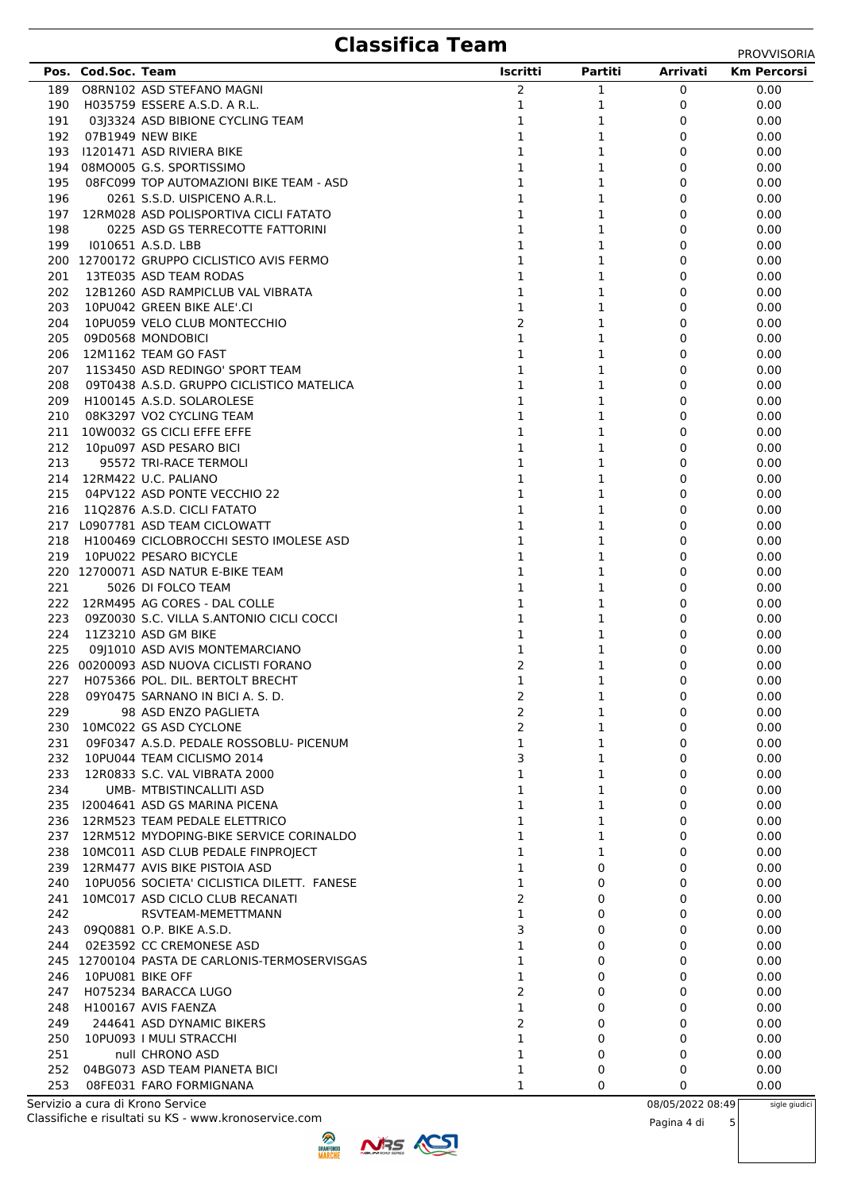# **Classifica Team** PROVVISORIA

|            | Pos. Cod.Soc. Team |                                                       | Iscritti                       | Partiti      | <b>Arrivati</b> | <b>Km Percorsi</b> |
|------------|--------------------|-------------------------------------------------------|--------------------------------|--------------|-----------------|--------------------|
| 189        |                    | O8RN102 ASD STEFANO MAGNI                             | 2                              | 1            | 0               | 0.00               |
| 190        |                    | H035759 ESSERE A.S.D. A R.L.                          | 1                              | 1            | 0               | 0.00               |
| 191        |                    | 03 3324 ASD BIBIONE CYCLING TEAM                      | $\mathbf 1$                    | 1            | 0               | 0.00               |
| 192        |                    | 07B1949 NEW BIKE                                      | 1                              | 1            | 0               | 0.00               |
| 193        |                    | 11201471 ASD RIVIERA BIKE                             | 1                              | 1            | 0               | 0.00               |
| 194        |                    | 08MO005 G.S. SPORTISSIMO                              | 1                              | 1            | 0               | 0.00               |
| 195        |                    | 08FC099 TOP AUTOMAZIONI BIKE TEAM - ASD               | 1                              | 1            | 0               | 0.00               |
| 196        |                    | 0261 S.S.D. UISPICENO A.R.L.                          | 1                              | 1            | 0               | 0.00               |
| 197        |                    | 12RM028 ASD POLISPORTIVA CICLI FATATO                 | 1                              | 1            | 0               | 0.00               |
| 198        |                    | 0225 ASD GS TERRECOTTE FATTORINI                      | 1                              | 1            | 0               | 0.00               |
| 199        |                    | 1010651 A.S.D. LBB                                    | 1                              | 1            | 0               | 0.00               |
|            |                    | 200 12700172 GRUPPO CICLISTICO AVIS FERMO             | 1                              | 1            | 0               | 0.00               |
| 201        |                    | 13TE035 ASD TEAM RODAS                                | 1                              | 1            | 0               | 0.00               |
| 202        |                    | 12B1260 ASD RAMPICLUB VAL VIBRATA                     | 1                              | 1            | 0               | 0.00               |
| 203        |                    | 10PU042 GREEN BIKE ALE'.CI                            | 1                              | 1            | 0               | 0.00               |
| 204        |                    | 10PU059 VELO CLUB MONTECCHIO                          | 2                              | 1            | 0               | 0.00               |
| 205        |                    | 09D0568 MONDOBICI<br>12M1162 TEAM GO FAST             | 1<br>1                         | 1            | 0               | 0.00               |
| 206<br>207 |                    | 11S3450 ASD REDINGO' SPORT TEAM                       | 1                              | 1<br>1       | 0<br>0          | 0.00<br>0.00       |
| 208        |                    | 09T0438 A.S.D. GRUPPO CICLISTICO MATELICA             | 1                              | 1            | 0               | 0.00               |
| 209        |                    | H100145 A.S.D. SOLAROLESE                             | $\mathbf{1}$                   | 1            | 0               | 0.00               |
| 210        |                    | 08K3297 VO2 CYCLING TEAM                              | 1                              | 1            | 0               | 0.00               |
| 211        |                    | 10W0032 GS CICLI EFFE EFFE                            | 1                              | 1            | 0               | 0.00               |
| 212        |                    | 10pu097 ASD PESARO BICI                               | 1                              | 1            | 0               | 0.00               |
| 213        |                    | 95572 TRI-RACE TERMOLI                                | 1                              | 1            | 0               | 0.00               |
| 214        |                    | 12RM422 U.C. PALIANO                                  | $\mathbf{1}$                   | 1            | 0               | 0.00               |
| 215        |                    | 04PV122 ASD PONTE VECCHIO 22                          | $\mathbf 1$                    | 1            | 0               | 0.00               |
| 216        |                    | 1102876 A.S.D. CICLI FATATO                           | 1                              | 1            | 0               | 0.00               |
|            |                    | 217 L0907781 ASD TEAM CICLOWATT                       | 1                              | 1            | 0               | 0.00               |
| 218        |                    | H100469 CICLOBROCCHI SESTO IMOLESE ASD                | $\mathbf{1}$                   | 1            | 0               | 0.00               |
| 219        |                    | 10PU022 PESARO BICYCLE                                | 1                              | 1            | 0               | 0.00               |
|            |                    | 220 12700071 ASD NATUR E-BIKE TEAM                    | $\mathbf{1}$                   | 1            | 0               | 0.00               |
| 221        |                    | 5026 DI FOLCO TEAM                                    | $\mathbf{1}$                   | 1            | 0               | 0.00               |
| 222        |                    | 12RM495 AG CORES - DAL COLLE                          | 1                              | 1            | 0               | 0.00               |
| 223        |                    | 09Z0030 S.C. VILLA S.ANTONIO CICLI COCCI              | 1                              | 1            | 0               | 0.00               |
| 224        |                    | 11Z3210 ASD GM BIKE                                   | 1                              | 1            | 0               | 0.00               |
| 225        |                    | 09 1010 ASD AVIS MONTEMARCIANO                        | 1                              | 1            | 0               | 0.00               |
|            |                    | 226 00200093 ASD NUOVA CICLISTI FORANO                | 2                              | 1            | 0               | 0.00               |
| 227        |                    | H075366 POL. DIL. BERTOLT BRECHT                      | $\mathbf 1$                    | 1            | 0               | 0.00               |
|            |                    | 228 09Y0475 SARNANO IN BICI A. S. D.                  | 2                              | 1            | 0               | 0.00               |
| 229        |                    | 98 ASD ENZO PAGLIETA                                  | 2                              | 1            | 0               | 0.00               |
| 230        |                    | 10MC022 GS ASD CYCLONE                                | 2                              | 1            | 0               | 0.00               |
| 231        |                    | 09F0347 A.S.D. PEDALE ROSSOBLU- PICENUM               | 1                              | 1            | 0               | 0.00               |
| 232        |                    | 10PU044 TEAM CICLISMO 2014                            | 3                              | $\mathbf{1}$ | 0               | 0.00               |
| 233        |                    | 12R0833 S.C. VAL VIBRATA 2000                         | $\mathbf{1}$                   | $\mathbf{1}$ | 0               | 0.00               |
| 234        |                    | UMB- MTBISTINCALLITI ASD                              | 1                              | $\mathbf 1$  | 0               | 0.00               |
| 235        |                    | 12004641 ASD GS MARINA PICENA                         | 1                              | 1            | 0               | 0.00               |
| 236        |                    | 12RM523 TEAM PEDALE ELETTRICO                         | $\mathbf{1}$                   | 1            | 0               | 0.00               |
| 237        |                    | 12RM512 MYDOPING-BIKE SERVICE CORINALDO               | $\mathbf{1}$                   | 1            | 0               | 0.00               |
|            |                    | 238 10MC011 ASD CLUB PEDALE FINPROJECT                | $\mathbf{1}$                   | 1            | 0               | 0.00               |
|            |                    | 239 12RM477 AVIS BIKE PISTOIA ASD                     | $\mathbf{1}$                   | 0            | 0               | 0.00               |
| 240        |                    | 10PU056 SOCIETA' CICLISTICA DILETT. FANESE            | $\mathbf{1}$<br>$\overline{2}$ | 0            | 0               | 0.00               |
| 241<br>242 |                    | 10MC017 ASD CICLO CLUB RECANATI<br>RSVTEAM-MEMETTMANN | 1                              | 0<br>0       | 0<br>0          | 0.00<br>0.00       |
| 243        |                    | 09Q0881 O.P. BIKE A.S.D.                              | 3                              | 0            | 0               | 0.00               |
|            |                    | 02E3592 CC CREMONESE ASD                              | $\mathbf{1}$                   | 0            | 0               |                    |
| 244        |                    | 245 12700104 PASTA DE CARLONIS-TERMOSERVISGAS         | $\mathbf{1}$                   | 0            | 0               | 0.00<br>0.00       |
| 246        | 10PU081 BIKE OFF   |                                                       | 1                              | 0            | 0               | 0.00               |
| 247        |                    | H075234 BARACCA LUGO                                  | $\overline{2}$                 | 0            | 0               | 0.00               |
| 248        |                    | H100167 AVIS FAENZA                                   | 1                              | 0            | 0               | 0.00               |
| 249        |                    | 244641 ASD DYNAMIC BIKERS                             | $\overline{2}$                 | 0            | 0               | 0.00               |
| 250        |                    | 10PU093   MULI STRACCHI                               | $\mathbf 1$                    | 0            | 0               | 0.00               |
| 251        |                    | null CHRONO ASD                                       | $\mathbf{1}$                   | 0            | 0               | 0.00               |
|            |                    |                                                       |                                |              |                 |                    |

Classifiche e risultati su KS - www.kronoservice.com Servizio a cura di Krono Service 08/05/2022 08:49



252 04BG073 ASD TEAM PIANETA BICI 252 04BG073 ASD TEAM PIANETA BICI 253 08FE031 FARO FORMIGNANA 1 0 0 0 0.00